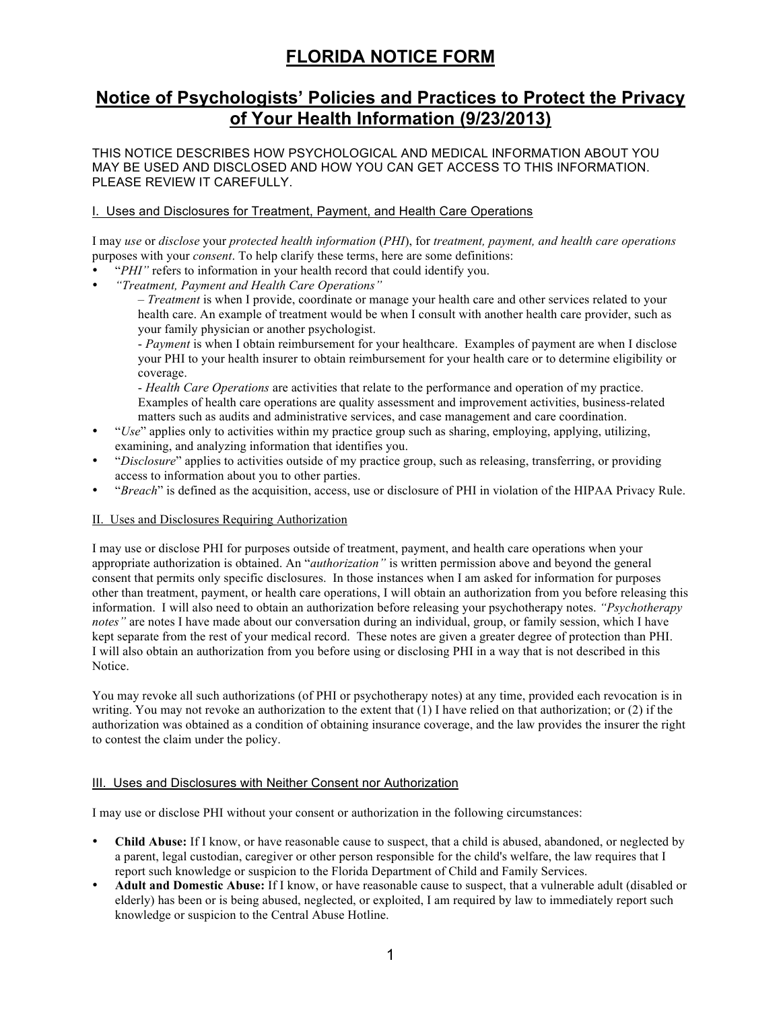# **FLORIDA NOTICE FORM**

# **Notice of Psychologists' Policies and Practices to Protect the Privacy of Your Health Information (9/23/2013)**

THIS NOTICE DESCRIBES HOW PSYCHOLOGICAL AND MEDICAL INFORMATION ABOUT YOU MAY BE USED AND DISCLOSED AND HOW YOU CAN GET ACCESS TO THIS INFORMATION. PLEASE REVIEW IT CAREFULLY.

## I. Uses and Disclosures for Treatment, Payment, and Health Care Operations

I may *use* or *disclose* your *protected health information* (*PHI*), for *treatment, payment, and health care operations*  purposes with your *consent*. To help clarify these terms, here are some definitions:

- "*PHI"* refers to information in your health record that could identify you.
- *"Treatment, Payment and Health Care Operations"*

– *Treatment* is when I provide, coordinate or manage your health care and other services related to your health care. An example of treatment would be when I consult with another health care provider, such as your family physician or another psychologist.

- *Payment* is when I obtain reimbursement for your healthcare. Examples of payment are when I disclose your PHI to your health insurer to obtain reimbursement for your health care or to determine eligibility or coverage.

- *Health Care Operations* are activities that relate to the performance and operation of my practice. Examples of health care operations are quality assessment and improvement activities, business-related matters such as audits and administrative services, and case management and care coordination.

- "*Use*" applies only to activities within my practice group such as sharing, employing, applying, utilizing, examining, and analyzing information that identifies you.
- "*Disclosure*" applies to activities outside of my practice group, such as releasing, transferring, or providing access to information about you to other parties.
- "*Breach*" is defined as the acquisition, access, use or disclosure of PHI in violation of the HIPAA Privacy Rule.

#### II. Uses and Disclosures Requiring Authorization

I may use or disclose PHI for purposes outside of treatment, payment, and health care operations when your appropriate authorization is obtained. An "*authorization"* is written permission above and beyond the general consent that permits only specific disclosures. In those instances when I am asked for information for purposes other than treatment, payment, or health care operations, I will obtain an authorization from you before releasing this information. I will also need to obtain an authorization before releasing your psychotherapy notes. *"Psychotherapy notes"* are notes I have made about our conversation during an individual, group, or family session, which I have kept separate from the rest of your medical record. These notes are given a greater degree of protection than PHI. I will also obtain an authorization from you before using or disclosing PHI in a way that is not described in this Notice.

You may revoke all such authorizations (of PHI or psychotherapy notes) at any time, provided each revocation is in writing. You may not revoke an authorization to the extent that (1) I have relied on that authorization; or (2) if the authorization was obtained as a condition of obtaining insurance coverage, and the law provides the insurer the right to contest the claim under the policy.

#### III. Uses and Disclosures with Neither Consent nor Authorization

I may use or disclose PHI without your consent or authorization in the following circumstances:

- **Child Abuse:** If I know, or have reasonable cause to suspect, that a child is abused, abandoned, or neglected by a parent, legal custodian, caregiver or other person responsible for the child's welfare, the law requires that I report such knowledge or suspicion to the Florida Department of Child and Family Services.
- **Adult and Domestic Abuse:** If I know, or have reasonable cause to suspect, that a vulnerable adult (disabled or elderly) has been or is being abused, neglected, or exploited, I am required by law to immediately report such knowledge or suspicion to the Central Abuse Hotline.